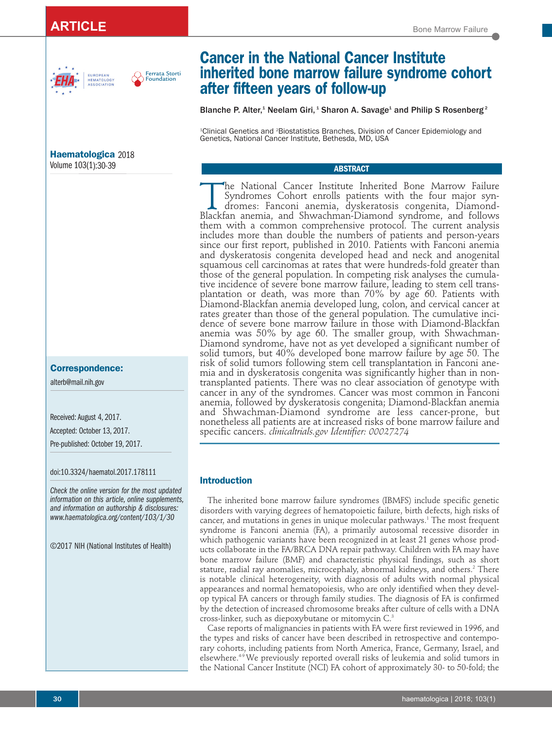# **ARTICLE** Bone Marrow Failure





# **Haematologica** 2018

# Volume 103(1):30-39

# **Correspondence:**

alterb@mail.nih.gov

Received: August 4, 2017.

Accepted: October 13, 2017.

Pre-published: October 19, 2017.

doi:10.3324/haematol.2017.178111

*Check the online version for the most updated information on this article, online supplements, and information on authorship & disclosures: www.haematologica.org/content/103/1/30*

©2017 NIH (National Institutes of Health)

# **Cancer in the National Cancer Institute inherited bone marrow failure syndrome cohort after fifteen years of follow-up**

Blanche P. Alter,<sup>1</sup> Neelam Giri,<sup>1</sup> Sharon A. Savage<sup>1</sup> and Philip S Rosenberg<sup>2</sup>

1 Clinical Genetics and 2 Biostatistics Branches, Division of Cancer Epidemiology and Genetics, National Cancer Institute, Bethesda, MD, USA

# **ABSTRACT**

The National Cancer Institute Inherited Bone Marrow Failure<br>Syndromes Cohort enrolls patients with the four major syn-<br>dromes: Fanconi anemia, dyskeratosis congenita, Diamond-Syndromes Cohort enrolls patients with the four major syn-Blackfan anemia, and Shwachman-Diamond syndrome, and follows them with a common comprehensive protocol. The current analysis includes more than double the numbers of patients and person-years since our first report, published in 2010. Patients with Fanconi anemia and dyskeratosis congenita developed head and neck and anogenital squamous cell carcinomas at rates that were hundreds-fold greater than those of the general population. In competing risk analyses the cumulative incidence of severe bone marrow failure, leading to stem cell transplantation or death, was more than 70% by age 60. Patients with Diamond-Blackfan anemia developed lung, colon, and cervical cancer at rates greater than those of the general population. The cumulative incidence of severe bone marrow failure in those with Diamond-Blackfan anemia was 50% by age 60. The smaller group, with Shwachman-Diamond syndrome, have not as yet developed a significant number of solid tumors, but 40% developed bone marrow failure by age 50. The risk of solid tumors following stem cell transplantation in Fanconi anemia and in dyskeratosis congenita was significantly higher than in nontransplanted patients. There was no clear association of genotype with cancer in any of the syndromes. Cancer was most common in Fanconi anemia, followed by dyskeratosis congenita; Diamond-Blackfan anemia and Shwachman-Diamond syndrome are less cancer-prone, but nonetheless all patients are at increased risks of bone marrow failure and specific cancers. *clinicaltrials.gov Identifier: 00027274* 

# **Introduction**

The inherited bone marrow failure syndromes (IBMFS) include specific genetic disorders with varying degrees of hematopoietic failure, birth defects, high risks of cancer, and mutations in genes in unique molecular pathways.<sup>1</sup> The most frequent syndrome is Fanconi anemia (FA), a primarily autosomal recessive disorder in which pathogenic variants have been recognized in at least 21 genes whose products collaborate in the FA/BRCA DNA repair pathway. Children with FA may have bone marrow failure (BMF) and characteristic physical findings, such as short stature, radial ray anomalies, microcephaly, abnormal kidneys, and others.<sup>2</sup> There is notable clinical heterogeneity, with diagnosis of adults with normal physical appearances and normal hematopoiesis, who are only identified when they develop typical FA cancers or through family studies. The diagnosis of FA is confirmed by the detection of increased chromosome breaks after culture of cells with a DNA cross-linker, such as diepoxybutane or mitomycin C.3

Case reports of malignancies in patients with FA were first reviewed in 1996, and the types and risks of cancer have been described in retrospective and contemporary cohorts, including patients from North America, France, Germany, Israel, and elsewhere.4-9 We previously reported overall risks of leukemia and solid tumors in the National Cancer Institute (NCI) FA cohort of approximately 30- to 50-fold; the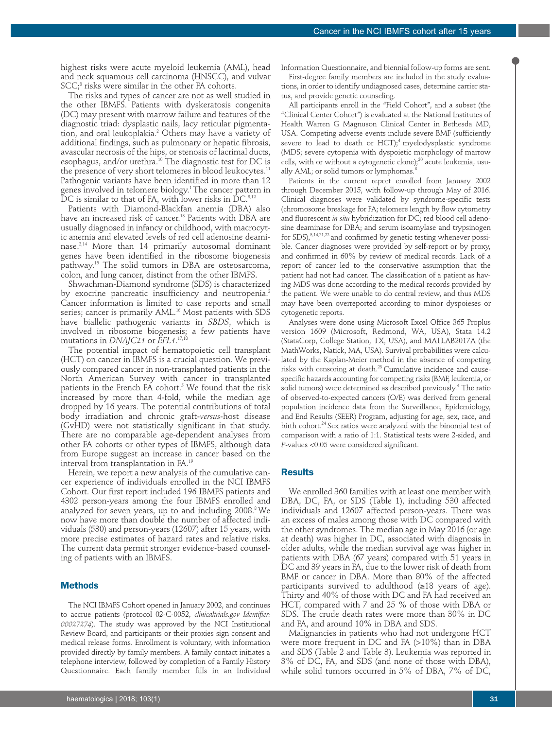highest risks were acute myeloid leukemia (AML), head and neck squamous cell carcinoma (HNSCC), and vulvar  $SCC<sub>i</sub><sup>8</sup>$  risks were similar in the other FA cohorts.

The risks and types of cancer are not as well studied in the other IBMFS. Patients with dyskeratosis congenita (DC) may present with marrow failure and features of the diagnostic triad: dysplastic nails, lacy reticular pigmentation, and oral leukoplakia.<sup>2</sup> Others may have a variety of additional findings, such as pulmonary or hepatic fibrosis, avascular necrosis of the hips, or stenosis of lacrimal ducts, esophagus, and/or urethra.<sup>10</sup> The diagnostic test for DC is the presence of very short telomeres in blood leukocytes.<sup>11</sup> Pathogenic variants have been identified in more than 12 genes involved in telomere biology.<sup>1</sup> The cancer pattern in DC is similar to that of FA, with lower risks in  $\rm \dot{D}C.^{8,12}$ 

Patients with Diamond-Blackfan anemia (DBA) also have an increased risk of cancer.<sup>13</sup> Patients with DBA are usually diagnosed in infancy or childhood, with macrocytic anemia and elevated levels of red cell adenosine deaminase.2,14 More than 14 primarily autosomal dominant genes have been identified in the ribosome biogenesis pathway.15 The solid tumors in DBA are osteosarcoma, colon, and lung cancer, distinct from the other IBMFS.

Shwachman-Diamond syndrome (SDS) is characterized by exocrine pancreatic insufficiency and neutropenia.<sup>2</sup> Cancer information is limited to case reports and small series; cancer is primarily AML.<sup>16</sup> Most patients with SDS have biallelic pathogenic variants in *SBDS*, which is involved in ribosome biogenesis; a few patients have mutations in *DNAJC21* or *EFL1*. 17,18

The potential impact of hematopoietic cell transplant (HCT) on cancer in IBMFS is a crucial question. We previously compared cancer in non-transplanted patients in the North American Survey with cancer in transplanted patients in the French FA cohort.<sup>5</sup> We found that the risk increased by more than 4-fold, while the median age dropped by 16 years. The potential contributions of total body irradiation and chronic graft-*versus*-host disease (GvHD) were not statistically significant in that study. There are no comparable age-dependent analyses from other FA cohorts or other types of IBMFS, although data from Europe suggest an increase in cancer based on the interval from transplantation in FA.19

Herein, we report a new analysis of the cumulative cancer experience of individuals enrolled in the NCI IBMFS Cohort. Our first report included 196 IBMFS patients and 4302 person-years among the four IBMFS enrolled and analyzed for seven years, up to and including 2008.8 We now have more than double the number of affected individuals (530) and person-years (12607) after 15 years, with more precise estimates of hazard rates and relative risks. The current data permit stronger evidence-based counseling of patients with an IBMFS.

#### **Methods**

The NCI IBMFS Cohort opened in January 2002, and continues to accrue patients (protocol 02-C-0052, *clinicaltrials.gov Identifier: 00027274*). The study was approved by the NCI Institutional Review Board, and participants or their proxies sign consent and medical release forms. Enrollment is voluntary, with information provided directly by family members. A family contact initiates a telephone interview, followed by completion of a Family History Questionnaire. Each family member fills in an Individual

Information Questionnaire, and biennial follow-up forms are sent.

First-degree family members are included in the study evaluations, in order to identify undiagnosed cases, determine carrier status, and provide genetic counseling.

All participants enroll in the "Field Cohort", and a subset (the "Clinical Center Cohort") is evaluated at the National Institutes of Health Warren G Magnuson Clinical Center in Bethesda MD, USA. Competing adverse events include severe BMF (sufficiently severe to lead to death or  $HCT$ ;<sup>4</sup> myelodysplastic syndrome (MDS; severe cytopenia with dyspoietic morphology of marrow cells, with or without a cytogenetic clone); $^{20}$  acute leukemia, usually AML; or solid tumors or lymphomas.<sup>8</sup>

Patients in the current report enrolled from January 2002 through December 2015, with follow-up through May of 2016. Clinical diagnoses were validated by syndrome-specific tests (chromosome breakage for FA; telomere length by flow cytometry and fluorescent *in situ* hybridization for DC; red blood cell adenosine deaminase for DBA; and serum isoamylase and trypsinogen for  $SDS$ ), $3,14,21,22$  and confirmed by genetic testing whenever possible. Cancer diagnoses were provided by self-report or by proxy, and confirmed in 60% by review of medical records. Lack of a report of cancer led to the conservative assumption that the patient had not had cancer. The classification of a patient as having MDS was done according to the medical records provided by the patient. We were unable to do central review, and thus MDS may have been overreported according to minor dyspoieses or cytogenetic reports.

Analyses were done using Microsoft Excel Office 365 Proplus version 1609 (Microsoft, Redmond, WA, USA), Stata 14.2 (StataCorp, College Station, TX, USA), and MATLAB2017A (the MathWorks, Natick, MA, USA). Survival probabilities were calculated by the Kaplan-Meier method in the absence of competing risks with censoring at death.23 Cumulative incidence and causespecific hazards accounting for competing risks (BMF, leukemia, or solid tumors) were determined as described previously.<sup>4</sup> The ratio of observed-to-expected cancers (O/E) was derived from general population incidence data from the Surveillance, Epidemiology, and End Results (SEER) Program, adjusting for age, sex, race, and birth cohort.<sup>24</sup> Sex ratios were analyzed with the binomial test of comparison with a ratio of 1:1. Statistical tests were 2-sided, and *P*-values <0.05 were considered significant.

## **Results**

We enrolled 360 families with at least one member with DBA, DC, FA, or SDS (Table 1), including 530 affected individuals and 12607 affected person-years. There was an excess of males among those with DC compared with the other syndromes. The median age in May 2016 (or age at death) was higher in DC, associated with diagnosis in older adults, while the median survival age was higher in patients with DBA (67 years) compared with 51 years in DC and 39 years in FA, due to the lower risk of death from BMF or cancer in DBA. More than 80% of the affected participants survived to adulthood (≥18 years of age). Thirty and 40% of those with DC and FA had received an HCT, compared with 7 and 25 % of those with DBA or SDS. The crude death rates were more than 30% in DC and FA, and around 10% in DBA and SDS.

Malignancies in patients who had not undergone HCT were more frequent in DC and FA (>10%) than in DBA and SDS (Table 2 and Table 3). Leukemia was reported in 3% of DC, FA, and SDS (and none of those with DBA), while solid tumors occurred in 5% of DBA, 7% of DC,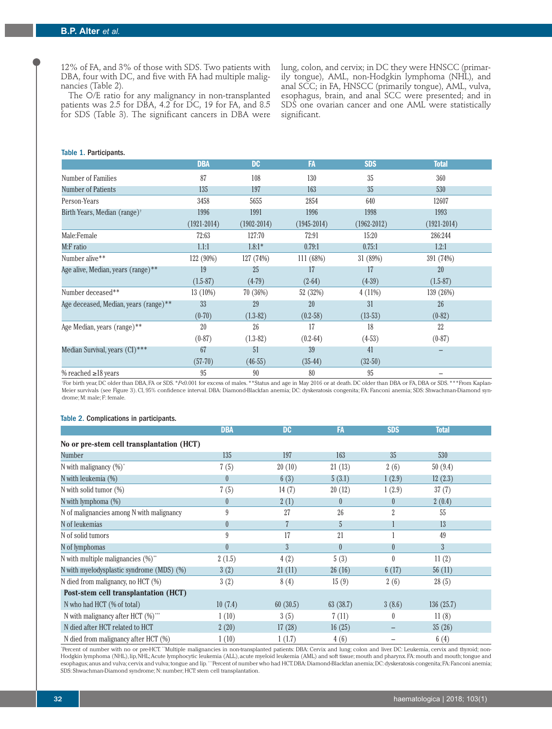12% of FA, and 3% of those with SDS. Two patients with DBA, four with DC, and five with FA had multiple malignancies (Table 2).

The O/E ratio for any malignancy in non-transplanted patients was 2.5 for DBA, 4.2 for DC, 19 for FA, and 8.5 for SDS (Table 3). The significant cancers in DBA were lung, colon, and cervix; in DC they were HNSCC (primarily tongue), AML, non-Hodgkin lymphoma (NHL), and anal SCC; in FA, HNSCC (primarily tongue), AML, vulva, esophagus, brain, and anal SCC were presented; and in SDS one ovarian cancer and one AML were statistically significant.

### Table 1. Participants.

|                                          | <b>DBA</b>      | <b>DC</b>       | FA              | <b>SDS</b>      | <b>Total</b>    |
|------------------------------------------|-----------------|-----------------|-----------------|-----------------|-----------------|
| Number of Families                       | 87              | 108             | 130             | 35              | 360             |
| <b>Number of Patients</b>                | 135             | 197             | 163             | 35              | 530             |
| Person-Years                             | 3458            | 5655            | 2854            | 640             | 12607           |
| Birth Years, Median (range) <sup>†</sup> | 1996            | 1991            | 1996            | 1998            | 1993            |
|                                          | $(1921 - 2014)$ | $(1902 - 2014)$ | $(1945 - 2014)$ | $(1962 - 2012)$ | $(1921 - 2014)$ |
| Male:Female                              | 72:63           | 127:70          | 72:91           | 15:20           | 286:244         |
| M:F ratio                                | 1.1:1           | $1.8:1*$        | 0.79:1          | 0.75:1          | 1.2:1           |
| Number alive**                           | 122 (90%)       | 127 (74%)       | 111(68%)        | 31 (89%)        | 391 (74%)       |
| Age alive, Median, years (range)**       | 19              | 25              | 17              | 17              | 20              |
|                                          | $(1.5-87)$      | $(4-79)$        | $(2-64)$        | $(4-39)$        | $(1.5-87)$      |
| Number deceased**                        | 13 (10%)        | 70(36%)         | 52 (32%)        | $4(11\%)$       | 139 (26%)       |
| Age deceased, Median, years (range)**    | 33              | 29              | 20              | 31              | 26              |
|                                          | $(0-70)$        | $(1.3-82)$      | $(0.2 - 58)$    | $(13-53)$       | $(0-82)$        |
| Age Median, years (range)**              | 20              | 26              | 17              | 18              | 22              |
|                                          | $(0-87)$        | $(1.3-82)$      | $(0.2 - 64)$    | $(4-53)$        | $(0-87)$        |
| Median Survival, years (CI)***           | 67              | 51              | 39              | 41              |                 |
|                                          | $(57-70)$       | $(46-55)$       | $(35-44)$       | $(32-50)$       |                 |
| % reached $\geq$ 18 years                | 95              | 90              | 80              | 95              | $\qquad \qquad$ |

† For birth year, DC older than DBA, FA or SDS. \**P*<0.001 for excess of males. \*\*Status and age in May 2016 or at death. DC older than DBA or FA, DBA or SDS. \*\*\*From Kaplan-Meier survivals (see Figure 3). CI, 95% confidence interval. DBA: Diamond-Blackfan anemia; DC: dyskeratosis congenita; FA: Fanconi anemia; SDS: Shwachman-Diamond syndrome; M: male; F: female.

#### Table 2. Complications in participants.

|                                                   | <b>DBA</b> | <b>DC</b> | FA       | <b>SDS</b>     | <b>Total</b> |  |
|---------------------------------------------------|------------|-----------|----------|----------------|--------------|--|
| No or pre-stem cell transplantation (HCT)         |            |           |          |                |              |  |
| Number                                            | 135        | 197       | 163      | 35             | 530          |  |
| N with malignancy $(\%)^*$                        | 7(5)       | 20(10)    | 21(13)   | 2(6)           | 50(9.4)      |  |
| N with leukemia (%)                               | $\theta$   | 6(3)      | 5(3.1)   | 1(2.9)         | 12(2.3)      |  |
| N with solid tumor $(\%)$                         | 7(5)       | 14(7)     | 20(12)   | 1(2.9)         | 37(7)        |  |
| N with lymphoma $(\%)$                            | $\theta$   | 2(1)      | $\theta$ | $\theta$       | 2(0.4)       |  |
| N of malignancies among N with malignancy         | 9          | 27        | 26       | $\overline{2}$ | 55           |  |
| N of leukemias                                    | $\theta$   |           | 5        |                | 13           |  |
| N of solid tumors                                 | 9          | 17        | 21       |                | 49           |  |
| N of lymphomas                                    | $\theta$   | 3         | $\theta$ | $\theta$       | 3            |  |
| N with multiple malignancies $(\%)^*$             | 2(1.5)     | 4(2)      | 5(3)     | $\theta$       | 11(2)        |  |
| N with myelodysplastic syndrome (MDS) (%)         | 3(2)       | 21(11)    | 26(16)   | 6(17)          | 56(11)       |  |
| N died from malignancy, no HCT (%)                | 3(2)       | 8(4)      | 15(9)    | 2(6)           | 28(5)        |  |
| Post-stem cell transplantation (HCT)              |            |           |          |                |              |  |
| N who had HCT (% of total)                        | 10(7.4)    | 60(30.5)  | 63(38.7) | 3(8.6)         | 136(25.7)    |  |
| N with malignancy after HCT $(\%)$ <sup>***</sup> | 1(10)      | 3(5)      | 7(11)    | $\theta$       | 11(8)        |  |
| N died after HCT related to HCT                   | 2(20)      | 17(28)    | 16(25)   |                | 35(26)       |  |
| N died from malignancy after HCT (%)              | 1(10)      | 1(1.7)    | 4(6)     |                | 6(4)         |  |

\*Percent of number with no or pre-HCT. "Multiple malignancies in non-transplanted patients: DBA: Cervix and lung; colon and liver. DC: Leukemia, cervix and thyroid; non-Hodgkin lymphoma (NHL), lip, NHL; Acute lymphocytic leukemia (ALL), acute myeloid leukemia (AML) and soft tissue; mouth and pharynx. FA: mouth and mouth; tongue and esophagus; anus and vulva; cervix and vulva; tongue and lip. "Percent of number who had HCT. DBA: Diamond-Blackfan anemia; DC: dyskeratosis congenita; FA: Fanconi anemia; SDS: Shwachman-Diamond syndrome; N: number; HCT: stem cell transplantation.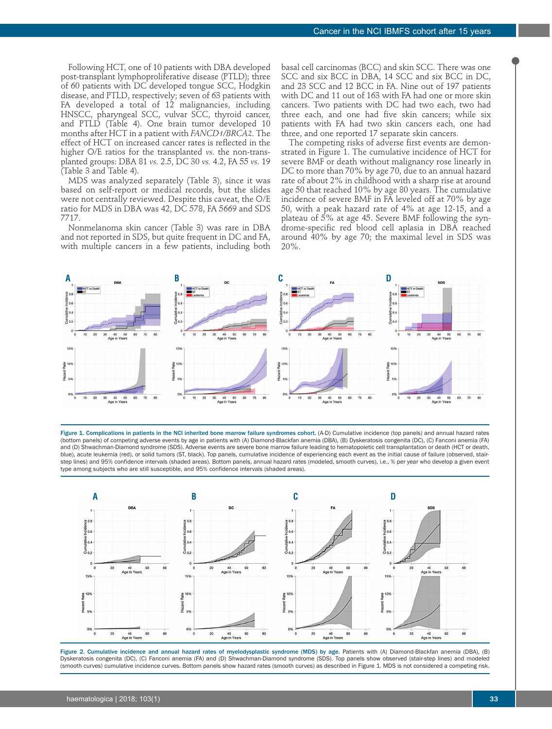Following HCT, one of 10 patients with DBA developed post-transplant lymphoproliferative disease (PTLD); three of 60 patients with DC developed tongue SCC, Hodgkin disease, and PTLD, respectively; seven of 63 patients with FA developed a total of 12 malignancies, including HNSCC, pharyngeal SCC, vulvar SCC, thyroid cancer, and PTLD (Table 4). One brain tumor developed 10 months after HCT in a patient with *FANCD1/BRCA2*. The effect of HCT on increased cancer rates is reflected in the higher O/E ratios for the transplanted *vs.* the non-transplanted groups: DBA 81 *vs.* 2.5, DC 30 *vs.* 4.2, FA 55 *vs.* 19 (Table 3 and Table 4).

MDS was analyzed separately (Table 3), since it was based on self-report or medical records, but the slides were not centrally reviewed. Despite this caveat, the O/E ratio for MDS in DBA was 42, DC 578, FA 5669 and SDS 7717.

Nonmelanoma skin cancer (Table 3) was rare in DBA and not reported in SDS, but quite frequent in DC and FA, with multiple cancers in a few patients, including both

basal cell carcinomas (BCC) and skin SCC. There was one SCC and six BCC in DBA, 14 SCC and six BCC in DC, and 23 SCC and 12 BCC in FA. Nine out of 197 patients with DC and 11 out of 163 with FA had one or more skin cancers. Two patients with DC had two each, two had three each, and one had five skin cancers; while six patients with FA had two skin cancers each, one had three, and one reported 17 separate skin cancers.

The competing risks of adverse first events are demonstrated in Figure 1. The cumulative incidence of HCT for severe BMF or death without malignancy rose linearly in DC to more than 70% by age 70, due to an annual hazard rate of about 2% in childhood with a sharp rise at around age 50 that reached 10% by age 80 years. The cumulative incidence of severe BMF in FA leveled off at 70% by age 50, with a peak hazard rate of 4% at age 12-15, and a plateau of 5% at age 45. Severe BMF following the syndrome-specific red blood cell aplasia in DBA reached around 40% by age 70; the maximal level in SDS was  $20\%$ .



Figure 1. Complications in patients in the NCI inherited bone marrow failure syndromes cohort. (A-D) Cumulative incidence (top panels) and annual hazard rates (bottom panels) of competing adverse events by age in patients with (A) Diamond-Blackfan anemia (DBA), (B) Dyskeratosis congenita (DC), (C) Fanconi anemia (FA) and (D) Shwachman-Diamond syndrome (SDS). Adverse events are severe bone marrow failure leading to hematopoietic cell transplantation or death (HCT or death, blue), acute leukemia (red), or solid tumors (ST, black). Top panels, cumulative incidence of experiencing each event as the initial cause of failure (observed, stairstep lines) and 95% confidence intervals (shaded areas). Bottom panels, annual hazard rates (modeled, smooth curves), i.e., % per year who develop a given event type among subjects who are still susceptible, and 95% confidence intervals (shaded areas).



Figure 2. Cumulative incidence and annual hazard rates of myelodysplastic syndrome (MDS) by age. Patients with (A) Diamond-Blackfan anemia (DBA), (B) Dyskeratosis congenita (DC), (C) Fanconi anemia (FA) and (D) Shwachman-Diamond syndrome (SDS). Top panels show observed (stair-step lines) and modeled (smooth curves) cumulative incidence curves. Bottom panels show hazard rates (smooth curves) as described in Figure 1. MDS is not considered a competing risk.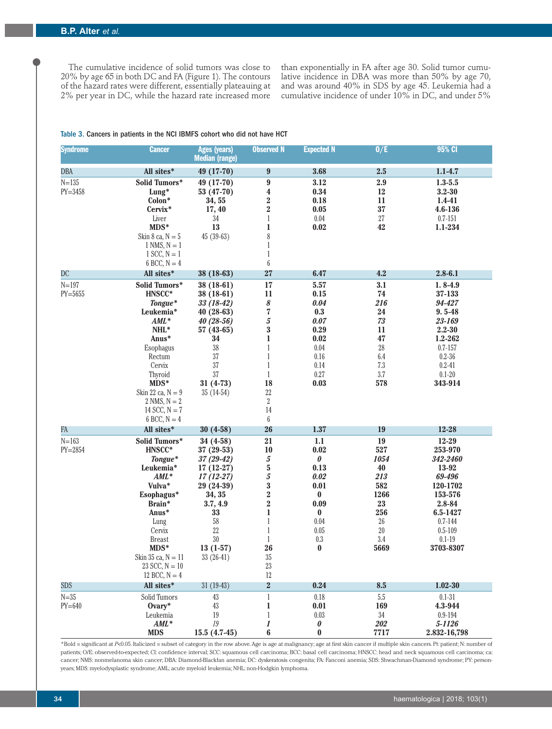The cumulative incidence of solid tumors was close to 20% by age 65 in both DC and FA (Figure 1). The contours of the hazard rates were different, essentially plateauing at 2% per year in DC, while the hazard rate increased more

than exponentially in FA after age 30. Solid tumor cumulative incidence in DBA was more than 50% by age 70, and was around 40% in SDS by age 45. Leukemia had a cumulative incidence of under  $10\%$  in DC, and under 5%

#### Table 3. Cancers in patients in the NCI IBMFS cohort who did not have HCT

| <b>Syndrome</b>          | <b>Cancer</b>                                                                                                                                                                                                       | <b>Ages (years)</b><br><b>Median (range)</b>                                                                                                                                | <b>Observed N</b>                                                                                                                                                                                            | <b>Expected N</b>                                                                                                   | 0/E                                                                                                   | 95% CI                                                                                                                                                    |
|--------------------------|---------------------------------------------------------------------------------------------------------------------------------------------------------------------------------------------------------------------|-----------------------------------------------------------------------------------------------------------------------------------------------------------------------------|--------------------------------------------------------------------------------------------------------------------------------------------------------------------------------------------------------------|---------------------------------------------------------------------------------------------------------------------|-------------------------------------------------------------------------------------------------------|-----------------------------------------------------------------------------------------------------------------------------------------------------------|
| <b>DBA</b>               | All sites*                                                                                                                                                                                                          | 49 (17-70)                                                                                                                                                                  | 9                                                                                                                                                                                                            | 3.68                                                                                                                | 2.5                                                                                                   | $1.1 - 4.7$                                                                                                                                               |
| $N = 135$<br>$PY = 3458$ | Solid Tumors*<br>Lung*<br>Colon*<br>Cervix*<br>Liver<br>MDS*<br>Skin 8 ca, $N = 5$                                                                                                                                  | 49 (17-70)<br>53 (47-70)<br>34, 55<br>17, 40<br>$34\,$<br>13<br>$45(39-63)$                                                                                                 | 9<br>$\boldsymbol{4}$<br>$\frac{2}{2}$<br>$\,1$<br>$\mathbf{1}$<br>8                                                                                                                                         | 3.12<br>0.34<br>0.18<br>0.05<br>0.04<br>0.02                                                                        | 2.9<br>12<br>11<br>37<br>$27\,$<br>42                                                                 | $1.3 - 5.5$<br>$3.2 - 30$<br>1.4-41<br>4.6-136<br>$0.7 - 151$<br>$1.1 - 234$                                                                              |
|                          | $1$ NMS, $N = 1$<br>$1$ SCC, $N = 1$<br>$6$ BCC, $N = 4$                                                                                                                                                            |                                                                                                                                                                             | $\mathbf{1}$<br>$\mathbf{1}$<br>$\boldsymbol{6}$                                                                                                                                                             |                                                                                                                     |                                                                                                       |                                                                                                                                                           |
| DC                       | All sites*                                                                                                                                                                                                          | 38 (18-63)                                                                                                                                                                  | 27                                                                                                                                                                                                           | 6.47                                                                                                                | 4.2                                                                                                   | $2.8 - 6.1$                                                                                                                                               |
| $N = 197$<br>$PY = 5655$ | Solid Tumors*<br>HNSCC*<br>Tongue*<br>Leukemia*<br>$AML^*$<br>NHL*<br>Anus*<br>Esophagus<br>Rectum<br>Cervix<br>Thyroid<br>MDS*<br>Skin 22 ca, $N = 9$<br>2 NMS, $N = 2$<br>14 SCC, $N = 7$<br>$6$ BCC, $N = 4$     | 38 (18-61)<br>$38(18-61)$<br>$33(18-42)$<br>40 (28-63)<br>$40(28-56)$<br>$57(43-65)$<br>34<br>$38\,$<br>$37\,$<br>$37\,$<br>37<br>$31(4-73)$<br>$35(14-54)$                 | 17<br>11<br>8<br>$\overline{\mathbf{7}}$<br>5<br>$\overline{\mathbf{3}}$<br>$\mathbf{1}$<br>$\mathbf{1}$<br>$\mathbf{1}$<br>$\mathbf{1}$<br>$\mathbf{1}$<br>18<br>22<br>$\sqrt{2}$<br>14<br>$\boldsymbol{6}$ | 5.57<br>0.15<br>0.04<br>0.3<br>0.07<br>0.29<br>0.02<br>0.04<br>$0.16\,$<br>0.14<br>0.27<br>0.03                     | 3.1<br>74<br>216<br>24<br>73<br>11<br>47<br>$\rm 28$<br>$6.4\,$<br>$7.3\,$<br>$3.7\,$<br>578          | $1.8 - 4.9$<br>37-133<br>94-427<br>$9.5 - 48$<br>23-169<br>$2.2 - 30$<br>1.2-262<br>$0.7 - 157$<br>$0.2 - 36$<br>$0.2 - 41$<br>$0.1 - 20$<br>343-914      |
| FA                       | All sites*                                                                                                                                                                                                          | $30(4-58)$                                                                                                                                                                  | 26                                                                                                                                                                                                           | 1.37                                                                                                                | 19                                                                                                    | 12-28                                                                                                                                                     |
| $N = 163$<br>$PY = 2854$ | Solid Tumors*<br>HNSCC*<br>Tongue*<br>Leukemia*<br>$AML^*$<br>Vulva*<br>Esophagus*<br>Brain*<br>Anus*<br>Lung<br>Cervix<br><b>Breast</b><br>$MDS*$<br>Skin 35 ca, $N = 11$<br>$23$ SCC, $N = 10$<br>12 BCC, $N = 4$ | $34(4-58)$<br>$37(29-53)$<br>$37(29-42)$<br>$17(12-27)$<br>$17(12-27)$<br>29 (24-39)<br>34, 35<br>3.7, 4.9<br>33<br>$58\,$<br>$22\,$<br>$30\,$<br>$13(1-57)$<br>$33(26-41)$ | 21<br>10<br>5<br>$\frac{5}{5}$<br>$\overline{\mathbf{3}}$<br>$\frac{2}{2}$<br>$\mathbf{1}$<br>$\mathbf{1}$<br>$\mathbf{1}$<br>$\mathbf{1}$<br>26<br>$35\,$<br>$23\,$<br>$12\,$                               | 1.1<br>0.02<br>0<br>0.13<br>0.02<br>0.01<br>$\bf{0}$<br>0.09<br>$\bf{0}$<br>$0.04\,$<br>0.05<br>$0.3\,$<br>$\bf{0}$ | 19<br>527<br>1054<br>40<br>213<br>582<br>1266<br>${\bf 23}$<br>256<br>$26\,$<br>$20\,$<br>3.4<br>5669 | $12 - 29$<br>253-970<br>342-2460<br>13-92<br>69-496<br>120-1702<br>153-576<br>2.8-84<br>6.5-1427<br>$0.7 - 144$<br>$0.5 - 109$<br>$0.1 - 19$<br>3703-8307 |
| <b>SDS</b>               | All sites*                                                                                                                                                                                                          | $31(19-43)$                                                                                                                                                                 | $\overline{\mathbf{2}}$                                                                                                                                                                                      | 0.24                                                                                                                | 8.5                                                                                                   | $1.02 - 30$                                                                                                                                               |
| $N = 35$<br>$PY=640$     | Solid Tumors<br>Ovary*<br>Leukemia<br>$AML^*$<br><b>MDS</b>                                                                                                                                                         | 43<br>43<br>19<br>19<br>$15.5(4.7-45)$                                                                                                                                      | $\,1\,$<br>$\mathbf{1}$<br>$\,1$<br>$\boldsymbol{l}$<br>$\boldsymbol{6}$                                                                                                                                     | 0.18<br>0.01<br>0.03<br>$\pmb{\theta}$<br>$\pmb{0}$                                                                 | $5.5\,$<br>169<br>$34\,$<br>202<br>7717                                                               | $0.1 - 31$<br>4.3-944<br>$0.9 - 194$<br>5-1126<br>2.832-16,798                                                                                            |

\*Bold = significant at *P*<0.05. Italicized = subset of category in the row above. Age is age at malignancy; age at first skin cancer if multiple skin cancers. Pt: patient; N: number of patients; O/E: observed-to-expected; CI: confidence interval; SCC: squamous cell carcinoma; BCC: basal cell carcinoma; HNSCC: head and neck squamous cell carcinoma; ca: cancer; NMS: nonmelanoma skin cancer; DBA: Diamond-Blackfan anemia; DC: dyskeratosis congenita; FA: Fanconi anemia; SDS: Shwachman-Diamond syndrome; PY: personyears; MDS: myelodysplastic syndrome; AML: acute myeloid leukemia; NHL: non-Hodgkin lymphoma.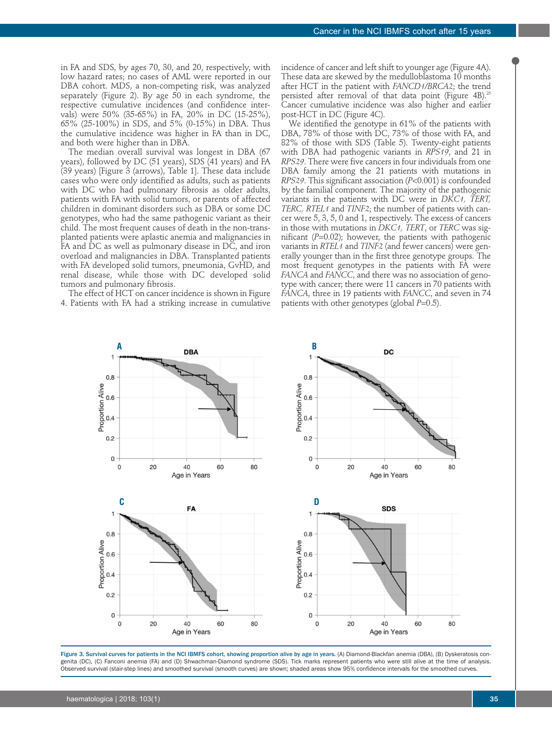in FA and SDS, by ages 70, 30, and 20, respectively, with low hazard rates; no cases of AML were reported in our DBA cohort. MDS, a non-competing risk, was analyzed separately (Figure 2). By age 50 in each syndrome, the respective cumulative incidences (and confidence intervals) were 50% (35-65%) in FA, 20% in DC (15-25%), 65% (25-100%) in SDS, and 5% (0-15%) in DBA. Thus the cumulative incidence was higher in FA than in DC, and both were higher than in DBA.

The median overall survival was longest in DBA (67 years), followed by DC (51 years), SDS (41 years) and FA (39 years) [Figure 3 (arrows), Table 1]. These data include cases who were only identified as adults, such as patients with DC who had pulmonary fibrosis as older adults, patients with FA with solid tumors, or parents of affected children in dominant disorders such as DBA or some DC genotypes, who had the same pathogenic variant as their child. The most frequent causes of death in the non-transplanted patients were aplastic anemia and malignancies in FA and DC as well as pulmonary disease in DC, and iron overload and malignancies in DBA. Transplanted patients with FA developed solid tumors, pneumonia, GvHD, and renal disease, while those with DC developed solid tumors and pulmonary fibrosis.

The effect of HCT on cancer incidence is shown in Figure 4. Patients with FA had a striking increase in cumulative incidence of cancer and left shift to younger age (Figure 4A). These data are skewed by the medulloblastoma 10 months after HCT in the patient with *FANCD1/BRCA2*; the trend persisted after removal of that data point (Figure 4B).<sup>25</sup> Cancer cumulative incidence was also higher and earlier post-HCT in DC (Figure 4C).

We identified the genotype in 61% of the patients with DBA, 78% of those with DC, 73% of those with FA, and 82% of those with SDS (Table 5). Twenty-eight patients with DBA had pathogenic variants in *RPS19*, and 21 in *RPS29*. There were five cancers in four individuals from one DBA family among the 21 patients with mutations in *RPS29*. This significant association (*P*<0.001) is confounded by the familial component. The majority of the pathogenic variants in the patients with DC were in *DKC1, TERT, TERC, RTEL1* and *TINF2*; the number of patients with cancer were 5, 3, 5, 0 and 1, respectively. The excess of cancers in those with mutations in *DKC1, TERT*, or *TERC* was significant (*P*=0.02); however, the patients with pathogenic variants in *RTEL1* and *TINF2* (and fewer cancers) were generally younger than in the first three genotype groups. The most frequent genotypes in the patients with FA were *FANCA* and *FANCC*, and there was no association of genotype with cancer; there were 11 cancers in 70 patients with *FANCA*, three in 19 patients with *FANCC*, and seven in 74 patients with other genotypes (global *P*=0.5).



Figure 3. Survival curves for patients in the NCI IBMFS cohort, showing proportion alive by age in years. (A) Diamond-Blackfan anemia (DBA), (B) Dyskeratosis congenita (DC), (C) Fanconi anemia (FA) and (D) Shwachman-Diamond syndrome (SDS). Tick marks represent patients who were still alive at the time of analysis. Observed survival (stair-step lines) and smoothed survival (smooth curves) are shown; shaded areas show 95% confidence intervals for the smoothed curves.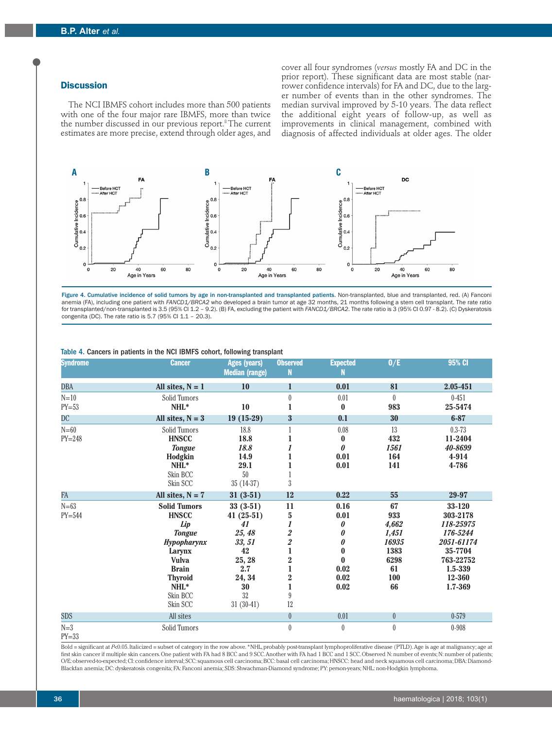# **Discussion**

The NCI IBMFS cohort includes more than 500 patients with one of the four major rare IBMFS, more than twice the number discussed in our previous report.<sup>8</sup> The current estimates are more precise, extend through older ages, and

cover all four syndromes (*versus* mostly FA and DC in the prior report). These significant data are most stable (narrower confidence intervals) for FA and DC, due to the larger number of events than in the other syndromes. The median survival improved by 5-10 years. The data reflect the additional eight years of follow-up, as well as improvements in clinical management, combined with diagnosis of affected individuals at older ages. The older



Figure 4. Cumulative incidence of solid tumors by age in non-transplanted and transplanted patients. Non-transplanted, blue and transplanted, red. (A) Fanconi anemia (FA), including one patient with *FANCD1/BRCA2* who developed a brain tumor at age 32 months, 21 months following a stem cell transplant. The rate ratio for transplanted/non-transplanted is 3.5 (95% CI 1.2 – 9.2). (B) FA, excluding the patient with *FANCD1/BRCA2*. The rate ratio is 3 (95% CI 0.97 - 8.2). (C) Dyskeratosis congenita (DC). The rate ratio is 5.7 (95% CI 1.1 – 20.3).

| <b>Syndrome</b>        | <b>Cancer</b>                                                                                                                                                                    | <b>Ages (years)</b><br><b>Median (range)</b>                                                                    | <b>Observed</b><br>N                                                                                                                                                               | <b>Expected</b><br>N                                                        | 0/E                                                                     | 95% CI                                                                                                            |
|------------------------|----------------------------------------------------------------------------------------------------------------------------------------------------------------------------------|-----------------------------------------------------------------------------------------------------------------|------------------------------------------------------------------------------------------------------------------------------------------------------------------------------------|-----------------------------------------------------------------------------|-------------------------------------------------------------------------|-------------------------------------------------------------------------------------------------------------------|
| DBA                    | All sites, $N = 1$                                                                                                                                                               | <b>10</b>                                                                                                       | $\mathbf{1}$                                                                                                                                                                       | 0.01                                                                        | 81                                                                      | 2.05-451                                                                                                          |
| $N=10$<br>$PY=53$      | Solid Tumors<br>NHL*                                                                                                                                                             | 10                                                                                                              | $\theta$<br>1                                                                                                                                                                      | 0.01<br>$\bf{0}$                                                            | $\theta$<br>983                                                         | $0 - 451$<br>25-5474                                                                                              |
| DC                     | All sites, $N = 3$                                                                                                                                                               | $19(15-29)$                                                                                                     | $\overline{\mathbf{3}}$                                                                                                                                                            | 0.1                                                                         | 30                                                                      | $6 - 87$                                                                                                          |
| $N = 60$<br>$PY = 248$ | Solid Tumors<br><b>HNSCC</b><br><b>Tongue</b><br>Hodgkin<br>$NHL^*$<br>Skin BCC<br>Skin SCC                                                                                      | 18.8<br>18.8<br>18.8<br>14.9<br>29.1<br>50<br>$35(14-37)$                                                       | $\boldsymbol{3}$                                                                                                                                                                   | 0.08<br>$\bf{0}$<br>$\boldsymbol{\theta}$<br>0.01<br>0.01                   | 13<br>432<br>1561<br>164<br>141                                         | $0.3 - 73$<br>11-2404<br>40-8699<br>4-914<br>4-786                                                                |
| FA                     | All sites, $N = 7$                                                                                                                                                               | $31(3-51)$                                                                                                      | 12                                                                                                                                                                                 | 0.22                                                                        | 55                                                                      | 29-97                                                                                                             |
| $N = 63$<br>$PY=544$   | <b>Solid Tumors</b><br><b>HNSCC</b><br>Lip<br><b>Tongue</b><br><b>Hypopharynx</b><br>Larynx<br><b>Vulva</b><br><b>Brain</b><br><b>Thyroid</b><br>$NHL^*$<br>Skin BCC<br>Skin SCC | $33(3-51)$<br>$41(25-51)$<br>41<br>25, 48<br>33, 51<br>42<br>25, 28<br>2.7<br>24, 34<br>30<br>32<br>$31(30-41)$ | 11<br>$\mathbf 5$<br>1<br>$\overline{\mathbf{2}}$<br>$\overline{\mathbf{2}}$<br>1<br>$\overline{\mathbf{2}}$<br>$\mathbf{1}$<br>$\overline{\mathbf{2}}$<br>$\mathbf{1}$<br>9<br>12 | 0.16<br>0.01<br>0<br>0<br>0<br>$\bf{0}$<br>$\bf{0}$<br>0.02<br>0.02<br>0.02 | 67<br>933<br>4,662<br>1,451<br>16935<br>1383<br>6298<br>61<br>100<br>66 | 33-120<br>303-2178<br>118-25975<br>176-5244<br>2051-61174<br>35-7704<br>763-22752<br>1.5-339<br>12-360<br>1.7-369 |
| <b>SDS</b>             | All sites                                                                                                                                                                        |                                                                                                                 | $\theta$                                                                                                                                                                           | 0.01                                                                        | $\overline{0}$                                                          | $0 - 579$                                                                                                         |
| $N=3$<br>$NT = 0.0$    | Solid Tumors                                                                                                                                                                     |                                                                                                                 | $\theta$                                                                                                                                                                           | $\theta$                                                                    | $\theta$                                                                | $0 - 908$                                                                                                         |

#### Table 4. Cancers in patients in the NCI IBMFS cohort, following transplant

 $PY=33$ 

Bold = significant at *P<*0.05. Italicized = subset of category in the row above. \*NHL, probably post-transplant lymphoproliferative disease (PTLD). Age is age at malignancy; age at first skin cancer if multiple skin cancers. One patient with FA had 8 BCC and 9 SCC. Another with FA had 1 BCC and 1 SCC. Observed N: number of events; N: number of patients; O/E: observed-to-expected; CI: confidence interval; SCC: squamous cell carcinoma; BCC: basal cell carcinoma; HNSCC: head and neck squamous cell carcinoma; DBA: Diamond-Blackfan anemia; DC: dyskeratosis congenita; FA: Fanconi anemia; SDS: Shwachman-Diamond syndrome; PY: person-years; NHL: non-Hodgkin lymphoma.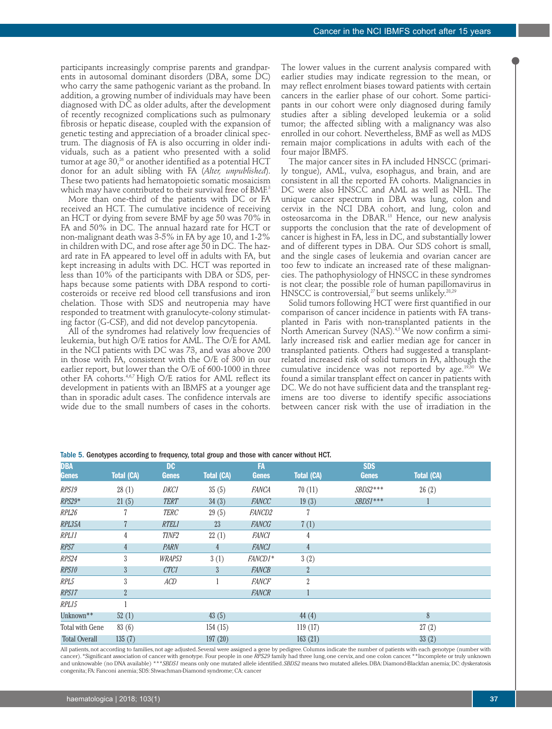participants increasingly comprise parents and grandparents in autosomal dominant disorders (DBA, some DC) who carry the same pathogenic variant as the proband. In addition, a growing number of individuals may have been diagnosed with DC as older adults, after the development of recently recognized complications such as pulmonary fibrosis or hepatic disease, coupled with the expansion of genetic testing and appreciation of a broader clinical spectrum. The diagnosis of FA is also occurring in older individuals, such as a patient who presented with a solid tumor at age  $30<sup>26</sup>$  or another identified as a potential HCT donor for an adult sibling with FA (*Alter, unpublished*). These two patients had hematopoietic somatic mosaicism which may have contributed to their survival free of BMF.<sup>3</sup>

More than one-third of the patients with DC or FA received an HCT. The cumulative incidence of receiving an HCT or dying from severe BMF by age 50 was 70% in FA and 50% in DC. The annual hazard rate for HCT or non-malignant death was 3-5% in FA by age 10, and 1-2% in children with DC, and rose after age 50 in DC. The hazard rate in FA appeared to level off in adults with FA, but kept increasing in adults with DC. HCT was reported in less than 10% of the participants with DBA or SDS, perhaps because some patients with DBA respond to corticosteroids or receive red blood cell transfusions and iron chelation. Those with SDS and neutropenia may have responded to treatment with granulocyte-colony stimulating factor (G-CSF), and did not develop pancytopenia.

All of the syndromes had relatively low frequencies of leukemia, but high O/E ratios for AML. The O/E for AML in the NCI patients with DC was 73, and was above 200 in those with FA, consistent with the O/E of 300 in our earlier report, but lower than the O/E of 600-1000 in three other FA cohorts.4,6,7 High O/E ratios for AML reflect its development in patients with an IBMFS at a younger age than in sporadic adult cases. The confidence intervals are wide due to the small numbers of cases in the cohorts.

The lower values in the current analysis compared with earlier studies may indicate regression to the mean, or may reflect enrolment biases toward patients with certain cancers in the earlier phase of our cohort. Some participants in our cohort were only diagnosed during family studies after a sibling developed leukemia or a solid tumor; the affected sibling with a malignancy was also enrolled in our cohort. Nevertheless, BMF as well as MDS remain major complications in adults with each of the four major IBMFS.

The major cancer sites in FA included HNSCC (primarily tongue), AML, vulva, esophagus, and brain, and are consistent in all the reported FA cohorts. Malignancies in DC were also HNSCC and AML as well as NHL. The unique cancer spectrum in DBA was lung, colon and cervix in the NCI DBA cohort, and lung, colon and osteosarcoma in the DBAR.13 Hence, our new analysis supports the conclusion that the rate of development of cancer is highest in FA, less in DC, and substantially lower and of different types in DBA. Our SDS cohort is small, and the single cases of leukemia and ovarian cancer are too few to indicate an increased rate of these malignancies. The pathophysiology of HNSCC in these syndromes is not clear; the possible role of human papillomavirus in HNSCC is controversial,<sup>27</sup> but seems unlikely.<sup>28,29</sup>

Solid tumors following HCT were first quantified in our comparison of cancer incidence in patients with FA transplanted in Paris with non-transplanted patients in the North American Survey (NAS).<sup>4,5</sup> We now confirm a similarly increased risk and earlier median age for cancer in transplanted patients. Others had suggested a transplantrelated increased risk of solid tumors in FA, although the cumulative incidence was not reported by age. $19,30$  We found a similar transplant effect on cancer in patients with DC. We do not have sufficient data and the transplant regimens are too diverse to identify specific associations between cancer risk with the use of irradiation in the

| <b>DBA</b>           |                   | D <sub>C</sub> |                   | <b>FA</b>     |                   | <b>SDS</b>   |                   |
|----------------------|-------------------|----------------|-------------------|---------------|-------------------|--------------|-------------------|
| <b>Genes</b>         | <b>Total (CA)</b> | <b>Genes</b>   | <b>Total (CA)</b> | <b>Genes</b>  | <b>Total (CA)</b> | <b>Genes</b> | <b>Total (CA)</b> |
| RPS19                | 28(1)             | DKC1           | 35(5)             | FANCA         | 70(11)            | $SBDS2***$   | 26(2)             |
| $RPS29*$             | 21(5)             | <b>TERT</b>    | 34(3)             | FANCC         | 19(3)             | $SBDS1***$   |                   |
| RPL26                |                   | <b>TERC</b>    | 29(5)             | <b>FANCD2</b> | 7                 |              |                   |
| RPL35A               |                   | <b>RTEL1</b>   | 23                | <b>FANCG</b>  | 7(1)              |              |                   |
| RPL11                | 4                 | <b>TINF2</b>   | 22(1)             | <b>FANCI</b>  | 4                 |              |                   |
| RPS7                 | 4                 | PARN           | 4                 | <b>FANCJ</b>  | 4                 |              |                   |
| RPS24                | 3                 | WRAP53         | 3(1)              | FANCD1*       | 3(2)              |              |                   |
| RPS10                | 3                 | <b>CTC1</b>    | 3                 | <b>FANCB</b>  | $\overline{2}$    |              |                   |
| RPL5                 | 3                 | ACD            | 1                 | <b>FANCF</b>  | $\overline{2}$    |              |                   |
| RPS17                | $\overline{2}$    |                |                   | <b>FANCR</b>  |                   |              |                   |
| RPL15                |                   |                |                   |               |                   |              |                   |
| Unknown**            | 52(1)             |                | 43(5)             |               | 44(4)             |              | 8                 |
| Total with Gene      | 83(6)             |                | 154(15)           |               | 119(17)           |              | 27(2)             |
| <b>Total Overall</b> | 135(7)            |                | 197(20)           |               | 163(21)           |              | 33(2)             |

Table 5. Genotypes according to frequency, total group and those with cancer without HCT.

All patients, not according to families, not age adjusted. Several were assigned a gene by pedigree. Columns indicate the number of patients with each genotype (number with cancer). \*Significant association of cancer with genotype. Four people in one *RPS29* family had three lung, one cervix, and one colon cancer. \*\*Incomplete or truly unknown and unknowable (no DNA available) \*\*\**SBDS1* means only one mutated allele identified. *SBDS2* means two mutated alleles. DBA: Diamond-Blackfan anemia; DC: dyskeratosis congenita; FA: Fanconi anemia; SDS: Shwachman-Diamond syndrome; CA: cancer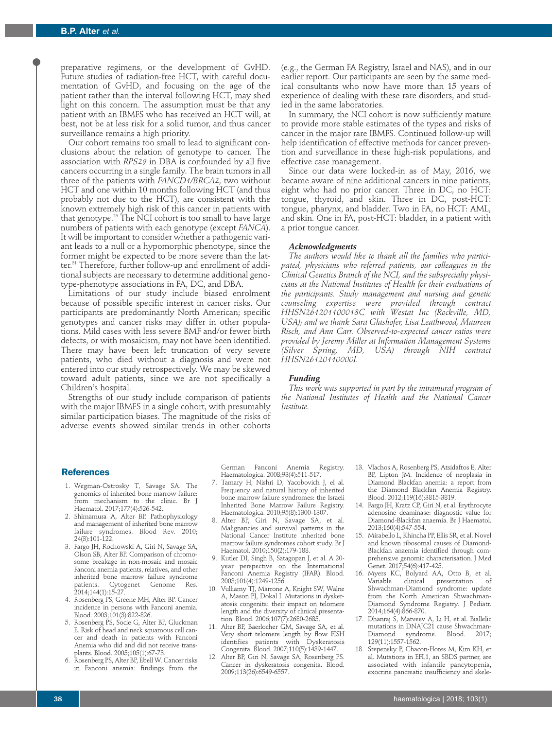preparative regimens, or the development of GvHD. Future studies of radiation-free HCT, with careful documentation of GvHD, and focusing on the age of the patient rather than the interval following HCT, may shed light on this concern. The assumption must be that any patient with an IBMFS who has received an HCT will, at best, not be at less risk for a solid tumor, and thus cancer surveillance remains a high priority.

Our cohort remains too small to lead to significant conclusions about the relation of genotype to cancer. The association with *RPS29* in DBA is confounded by all five cancers occurring in a single family. The brain tumors in all three of the patients with *FANCD1/BRCA2*, two without HCT and one within 10 months following HCT (and thus probably not due to the HCT), are consistent with the known extremely high risk of this cancer in patients with that genotype.<sup>25</sup> The NCI cohort is too small to have large numbers of patients with each genotype (except *FANCA*). It will be important to consider whether a pathogenic variant leads to a null or a hypomorphic phenotype, since the former might be expected to be more severe than the latter.31 Therefore, further follow-up and enrollment of additional subjects are necessary to determine additional genotype-phenotype associations in FA, DC, and DBA.

Limitations of our study include biased enrolment because of possible specific interest in cancer risks. Our participants are predominantly North American; specific genotypes and cancer risks may differ in other populations. Mild cases with less severe BMF and/or fewer birth defects, or with mosaicism, may not have been identified. There may have been left truncation of very severe patients, who died without a diagnosis and were not entered into our study retrospectively. We may be skewed toward adult patients, since we are not specifically a Children's hospital.

Strengths of our study include comparison of patients with the major IBMFS in a single cohort, with presumably similar participation biases. The magnitude of the risks of adverse events showed similar trends in other cohorts

(e.g., the German FA Registry, Israel and NAS), and in our earlier report. Our participants are seen by the same medical consultants who now have more than 15 years of experience of dealing with these rare disorders, and studied in the same laboratories.

In summary, the NCI cohort is now sufficiently mature to provide more stable estimates of the types and risks of cancer in the major rare IBMFS. Continued follow-up will help identification of effective methods for cancer prevention and surveillance in these high-risk populations, and effective case management.

Since our data were locked-in as of May, 2016, we became aware of nine additional cancers in nine patients, eight who had no prior cancer. Three in DC, no HCT: tongue, thyroid, and skin. Three in DC, post-HCT: tongue, pharynx, and bladder. Two in FA, no HCT: AML, and skin. One in FA, post-HCT: bladder, in a patient with a prior tongue cancer.

#### *Acknowledgments*

*The authors would like to thank all the families who participated, physicians who referred patients, our colleagues in the Clinical Genetics Branch of the NCI, and the subspecialty physicians at the National Institutes of Health for their evaluations of the participants. Study management and nursing and genetic counseling expertise were provided through contract HHSN261201100018C with Westat Inc (Rockville, MD, USA); and we thank Sara Glashofer, Lisa Leathwood, Maureen Risch, and Ann Carr. Observed-to-expected cancer ratios were provided by Jeremy Miller at Information Management Systems (Silver Spring, MD, USA) through NIH contract HHSN26120110000I.* 

#### *Funding*

*This work was supported in part by the intramural program of the National Institutes of Health and the National Cancer Institute.*

#### **References**

- 1. Wegman-Ostrosky T, Savage SA. The genomics of inherited bone marrow failure: from mechanism to the clinic. Br J Haematol. 2017;177(4):526-542.
- 2. Shimamura A, Alter BP. Pathophysiology and management of inherited bone marrow failure syndromes. Blood Rev. 2010; 24(3):101-122.
- 3. Fargo JH, Rochowski A, Giri N, Savage SA, Olson SB, Alter BP. Comparison of chromosome breakage in non-mosaic and mosaic Fanconi anemia patients, relatives, and other inherited bone marrow failure syndrome<br>patients. Cytogenet Genome Res. Cytogenet Genome Res. 2014;144(1):15-27.
- 4. Rosenberg PS, Greene MH, Alter BP. Cancer incidence in persons with Fanconi anemia. Blood. 2003;101(3):822-826.
- 5. Rosenberg PS, Socie G, Alter BP, Gluckman E. Risk of head and neck squamous cell cancer and death in patients with Fanconi Anemia who did and did not receive transplants. Blood. 2005;105(1):67-73.
- 6. Rosenberg PS, Alter BP, Ebell W. Cancer risks in Fanconi anemia: findings from the

German Fanconi Anemia Registry. Haematologica. 2008;93(4):511-517.

- 7. Tamary H, Nishri D, Yacobovich J, el al. Frequency and natural history of inherited bone marrow failure syndromes: the Israeli Inherited Bone Marrow Failure Registry. Haematologica. 2010;95(8):1300-1307.
- 8. Alter BP, Giri N, Savage SA, et al. Malignancies and survival patterns in the National Cancer Institute inherited bone marrow failure syndromes cohort study. Br J Haematol. 2010;150(2):179-188.
- 9. Kutler DI, Singh B, Satagopan J, et al. A 20 year perspective on the International Fanconi Anemia Registry (IFAR). Blood. 2003;101(4):1249-1256.
- 10. Vulliamy TJ, Marrone A, Knight SW, Walne A, Mason PJ, Dokal I. Mutations in dyskeratosis congenita: their impact on telomere length and the diversity of clinical presentation. Blood. 2006;107(7):2680-2685.
- 11. Alter BP, Baerlocher GM, Savage SA, et al. Very short telomere length by flow FISH identifies patients with Dyskeratosis Congenita. Blood. 2007;110(5):1439-1447.
- 12. Alter BP, Giri N, Savage SA, Rosenberg PS. Cancer in dyskeratosis congenita. Blood. 2009;113(26):6549-6557.
- 13. Vlachos A, Rosenberg PS, Atsidaftos E, Alter BP, Lipton JM. Incidence of neoplasia in Diamond Blackfan anemia: a report from the Diamond Blackfan Anemia Registry. Blood. 2012;119(16):3815-3819.
- 14. Fargo JH, Kratz CP, Giri N, et al. Erythrocyte adenosine deaminase: diagnostic value for Diamond-Blackfan anaemia. Br J Haematol. 2013;160(4):547-554.
- 15. Mirabello L, Khincha PP, Ellis SR, et al. Novel and known ribosomal causes of Diamond-Blackfan anaemia identified through comprehensive genomic characterisation. J Med Genet. 2017;54(6):417-425.
- 16. Myers KC, Bolyard AA, Otto B, et al. Variable clinical presentation of Shwachman-Diamond syndrome: update from the North American Shwachman-Diamond Syndrome Registry. J Pediatr. 2014;164(4):866-870.
- 17. Dhanraj S, Matveev A, Li H, et al. Biallelic mutations in DNAJC21 cause Shwachman-Diamond syndrome. Blood. 2017; 129(11):1557-1562.
- 18. Stepensky P, Chacon-Flores M, Kim KH, et al. Mutations in EFL1, an SBDS partner, are associated with infantile pancytopenia, exocrine pancreatic insufficiency and skele-